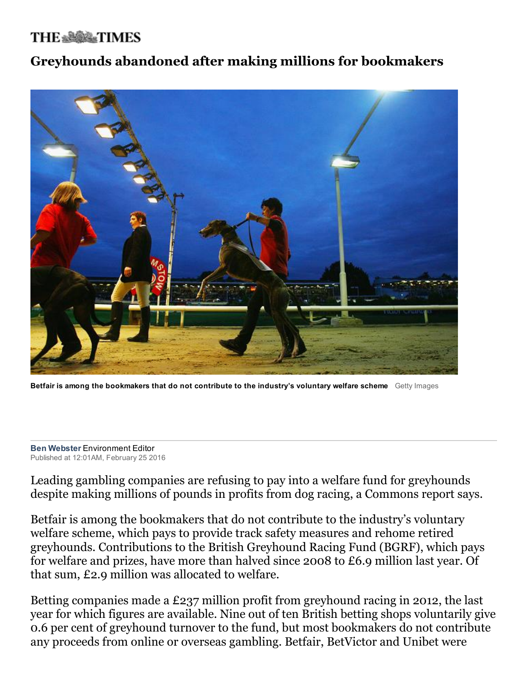## **THE \*\*\*\* TIMES**

## Greyhounds abandoned after making millions for bookmakers



Betfair is among the bookmakers that do not contribute to the industry's voluntary welfare scheme Getty Images

**Ben Webster Environment Editor** Published at 12:01AM, February 25 2016

Leading gambling companies are refusing to pay into a welfare fund for greyhounds despite making millions of pounds in profits from dog racing, a Commons report says.

Betfair is among the bookmakers that do not contribute to the industry's voluntary welfare scheme, which pays to provide track safety measures and rehome retired greyhounds. Contributions to the British Greyhound Racing Fund (BGRF), which pays for welfare and prizes, have more than halved since 2008 to £6.9 million last year. Of that sum, £2.9 million was allocated to welfare.

Betting companies made a £237 million profit from greyhound racing in 2012, the last year for which figures are available. Nine out of ten British betting shops voluntarily give 0.6 per cent of greyhound turnover to the fund, but most bookmakers do not contribute any proceeds from online or overseas gambling. Betfair, BetVictor and Unibet were